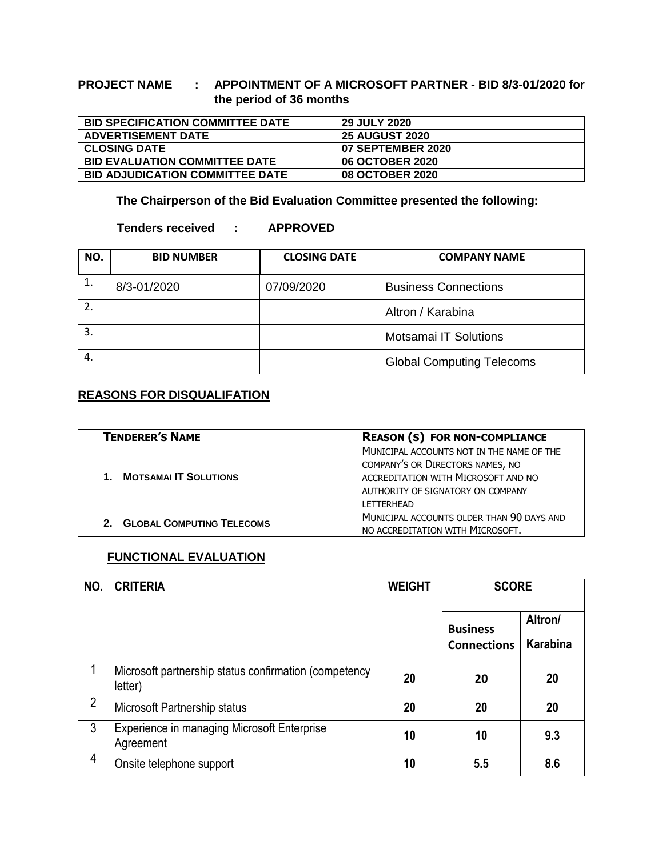## **PROJECT NAME : APPOINTMENT OF A MICROSOFT PARTNER - BID 8/3-01/2020 for the period of 36 months**

| <b>BID SPECIFICATION COMMITTEE DATE</b> | <b>29 JULY 2020</b>    |
|-----------------------------------------|------------------------|
| <b>ADVERTISEMENT DATE</b>               | <b>25 AUGUST 2020</b>  |
| <b>CLOSING DATE</b>                     | 07 SEPTEMBER 2020      |
| <b>BID EVALUATION COMMITTEE DATE</b>    | <b>06 OCTOBER 2020</b> |
| <b>BID ADJUDICATION COMMITTEE DATE</b>  | <b>08 OCTOBER 2020</b> |

**The Chairperson of the Bid Evaluation Committee presented the following:**

## **Tenders received : APPROVED**

| NO.              | <b>BID NUMBER</b> | <b>CLOSING DATE</b> | <b>COMPANY NAME</b>              |  |
|------------------|-------------------|---------------------|----------------------------------|--|
| 1.               | 8/3-01/2020       | 07/09/2020          | <b>Business Connections</b>      |  |
| $\overline{2}$ . |                   |                     | Altron / Karabina                |  |
| 3.               |                   |                     | <b>Motsamai IT Solutions</b>     |  |
| 4.               |                   |                     | <b>Global Computing Telecoms</b> |  |

## **REASONS FOR DISQUALIFATION**

| <b>TENDERER'S NAME</b>       | <b>REASON (S) FOR NON-COMPLIANCE</b>                                                                                                                                           |
|------------------------------|--------------------------------------------------------------------------------------------------------------------------------------------------------------------------------|
| <b>MOTSAMAI IT SOLUTIONS</b> | MUNICIPAL ACCOUNTS NOT IN THE NAME OF THE<br>COMPANY'S OR DIRECTORS NAMES, NO<br>ACCREDITATION WITH MICROSOFT AND NO<br>AUTHORITY OF SIGNATORY ON COMPANY<br><b>LETTERHEAD</b> |
| 2. GLOBAL COMPUTING TELECOMS | MUNICIPAL ACCOUNTS OLDER THAN 90 DAYS AND<br>NO ACCREDITATION WITH MICROSOFT.                                                                                                  |

## **FUNCTIONAL EVALUATION**

| NO.            | <b>CRITERIA</b>                                                  | <b>WEIGHT</b> | <b>SCORE</b>                          |                     |
|----------------|------------------------------------------------------------------|---------------|---------------------------------------|---------------------|
|                |                                                                  |               | <b>Business</b><br><b>Connections</b> | Altron/<br>Karabina |
|                | Microsoft partnership status confirmation (competency<br>letter) | 20            | 20                                    | 20                  |
| $\overline{2}$ | Microsoft Partnership status                                     | 20            | 20                                    | 20                  |
| 3              | <b>Experience in managing Microsoft Enterprise</b><br>Agreement  | 10            | 10                                    | 9.3                 |
| 4              | Onsite telephone support                                         | 10            | 5.5                                   | 8.6                 |